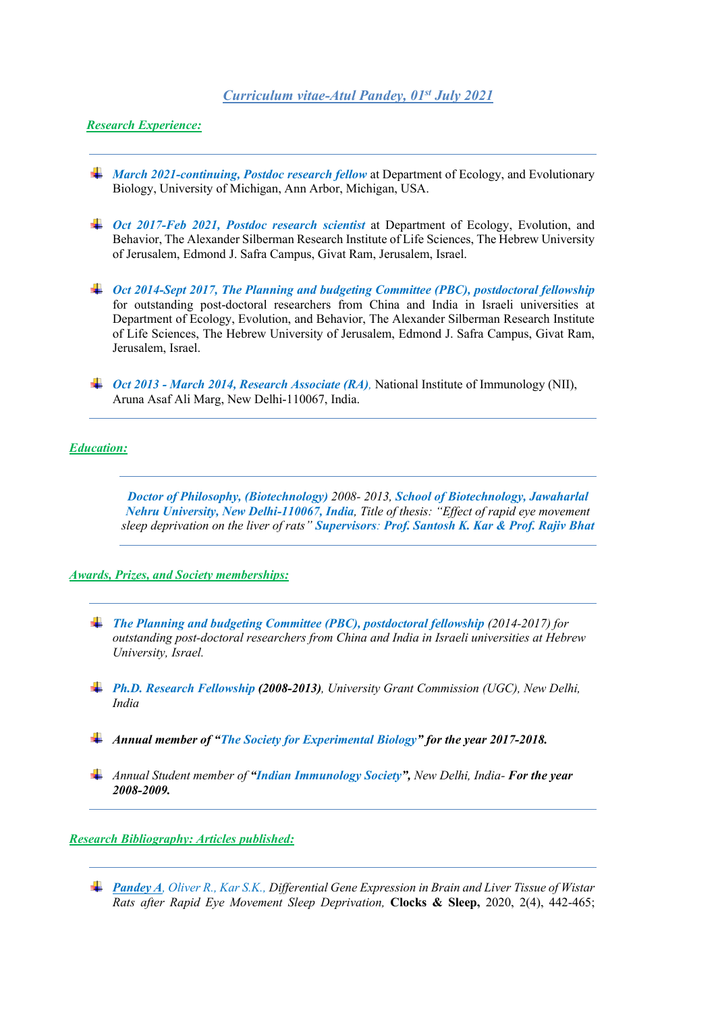# *Curriculum vitae-Atul Pandey, 01st July 2021*

# *Research Experience:*

- *March 2021-continuing, Postdoc research fellow* at Department of Ecology, and Evolutionary Biology, University of Michigan, Ann Arbor, Michigan, USA.
- *Oct 2017-Feb 2021, Postdoc research scientist* at Department of Ecology, Evolution, and Behavior, The Alexander Silberman Research Institute of Life Sciences, The Hebrew University of Jerusalem, Edmond J. Safra Campus, Givat Ram, Jerusalem, Israel.
- *Oct 2014-Sept 2017, The Planning and budgeting Committee (PBC), postdoctoral fellowship* for outstanding post-doctoral researchers from China and India in Israeli universities at Department of Ecology, Evolution, and Behavior, The Alexander Silberman Research Institute of Life Sciences, The Hebrew University of Jerusalem, Edmond J. Safra Campus, Givat Ram, Jerusalem, Israel.
- *Oct 2013 - March 2014, Research Associate (RA),* National Institute of Immunology (NII), Aruna Asaf Ali Marg, New Delhi-110067, India.

#### *Education:*

*Doctor of Philosophy, (Biotechnology) 2008- 2013, School of Biotechnology, Jawaharlal Nehru University, New Delhi-110067, India, Title of thesis: "Effect of rapid eye movement sleep deprivation on the liver of rats" Supervisors: Prof. Santosh K. Kar & Prof. Rajiv Bhat*

## *Awards, Prizes, and Society memberships:*

- *The Planning and budgeting Committee (PBC), postdoctoral fellowship (2014-2017) for outstanding post-doctoral researchers from China and India in Israeli universities at Hebrew University, Israel.*
- *Ph.D. Research Fellowship (2008-2013), University Grant Commission (UGC), New Delhi, India*
- *Annual member of "The Society for Experimental Biology" for the year 2017-2018.*
- *Annual Student member of "Indian Immunology Society", New Delhi, India- For the year 2008-2009.*

#### *Research Bibliography: Articles published:*

*Pandey A, Oliver R., Kar S.K., Differential Gene Expression in Brain and Liver Tissue of Wistar Rats after Rapid Eye Movement Sleep Deprivation,* **Clocks & Sleep,** 2020, 2(4), 442-465;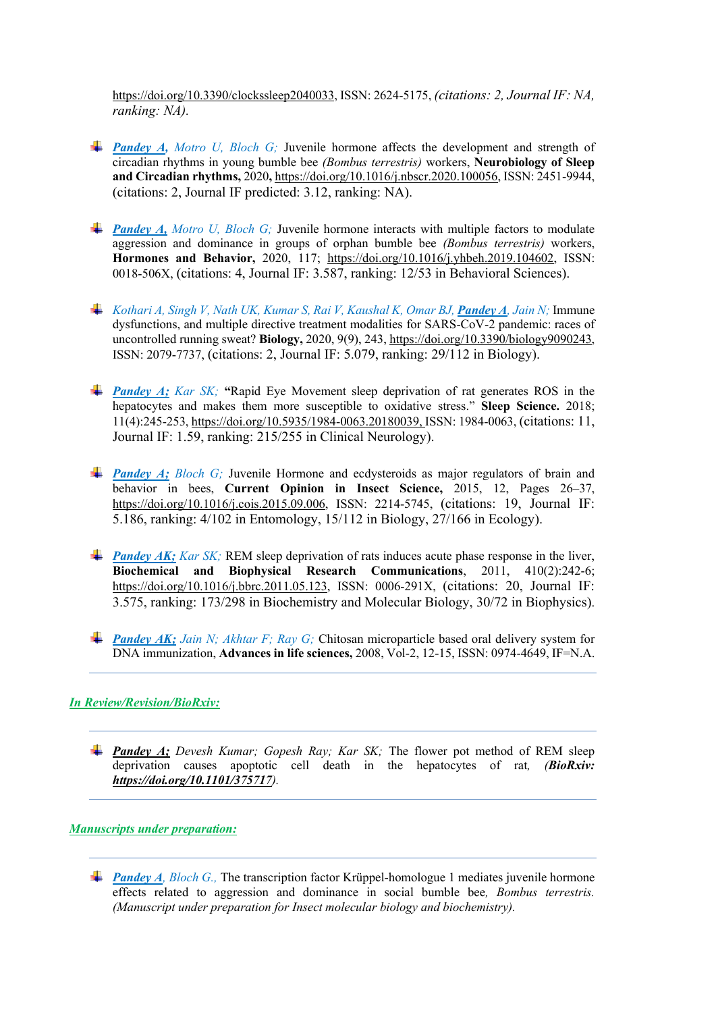[https://doi.org/10.3390/clockssleep2040033,](https://doi.org/10.3390/clockssleep2040033) ISSN: 2624-5175, *(citations: 2, Journal IF: NA, ranking: NA).*

- *Pandey A, Motro U, Bloch G;* Juvenile hormone affects the development and strength of circadian rhythms in young bumble bee *(Bombus terrestris)* workers, **Neurobiology of Sleep and Circadian rhythms,** 2020**,** [https://doi.org/10.1016/j.nbscr.2020.100056,](https://doi.org/10.1016/j.nbscr.2020.100056) ISSN: 2451-9944, (citations: 2, Journal IF predicted: 3.12, ranking: NA).
- *Pandey A, Motro U, Bloch G;* Juvenile hormone interacts with multiple factors to modulate aggression and dominance in groups of orphan bumble bee *(Bombus terrestris)* workers, **Hormones and Behavior,** 2020, 117; [https://doi.org/10.1016/j.yhbeh.2019.104602,](https://doi.org/10.1016/j.yhbeh.2019.104602) ISSN: 0018-506X, (citations: 4, Journal IF: 3.587, ranking: 12/53 in Behavioral Sciences).
- *Kothari A, Singh V, Nath UK, Kumar S, Rai V, Kaushal K, Omar BJ, Pandey A, Jain N;* Immune dysfunctions, and multiple directive treatment modalities for SARS-CoV-2 pandemic: races of uncontrolled running sweat? **Biology,** 2020, 9(9), 243, [https://doi.org/10.3390/biology9090243,](https://doi.org/10.3390/biology9090243) ISSN: 2079-7737, (citations: 2, Journal IF: 5.079, ranking: 29/112 in Biology).
- *Pandey A: Kar SK:* "Rapid Eye Movement sleep deprivation of rat generates ROS in the hepatocytes and makes them more susceptible to oxidative stress." **Sleep Science.** 2018; 11(4):245-253, [https://doi.org/10.5935/1984-0063.20180039,](https://doi.org/10.5935/1984-0063.20180039) ISSN: 1984-0063, (citations: 11, Journal IF: 1.59, ranking: 215/255 in Clinical Neurology).
- **Pandey A;** *Bloch G;* Juvenile Hormone and ecdysteroids as major regulators of brain and behavior in bees, **Current Opinion in Insect Science,** 2015, 12, Pages 26–37, [https://doi.org/10.1016/j.cois.2015.09.006,](https://doi.org/10.1016/j.cois.2015.09.006) ISSN: 2214-5745, (citations: 19, Journal IF: 5.186, ranking: 4/102 in Entomology, 15/112 in Biology, 27/166 in Ecology).
- *Pandey AK; Kar SK;* **REM sleep deprivation of rats induces acute phase response in the liver, Biochemical and Biophysical Research Communications**, 2011, 410(2):242-6; [https://doi.org/10.1016/j.bbrc.2011.05.123,](https://doi.org/10.1016/j.bbrc.2011.05.123) ISSN: 0006-291X, (citations: 20, Journal IF: 3.575, ranking: 173/298 in Biochemistry and Molecular Biology, 30/72 in Biophysics).
- *Pandey AK; Jain N; Akhtar F; Ray G; Chitosan microparticle based oral delivery system for* DNA immunization, **Advances in life sciences,** 2008, Vol-2, 12-15, ISSN: 0974-4649, IF=N.A.

# *In Review/Revision/BioRxiv:*

*Pandey A; Devesh Kumar; Gopesh Ray; Kar SK;* The flower pot method of REM sleep deprivation causes apoptotic cell death in the hepatocytes of rat*, (BioRxiv: <https://doi.org/10.1101/375717>).*

## *Manuscripts under preparation:*

**Pandey A**, Bloch G., The transcription factor Krüppel-homologue 1 mediates juvenile hormone effects related to aggression and dominance in social bumble bee*, Bombus terrestris. (Manuscript under preparation for Insect molecular biology and biochemistry).*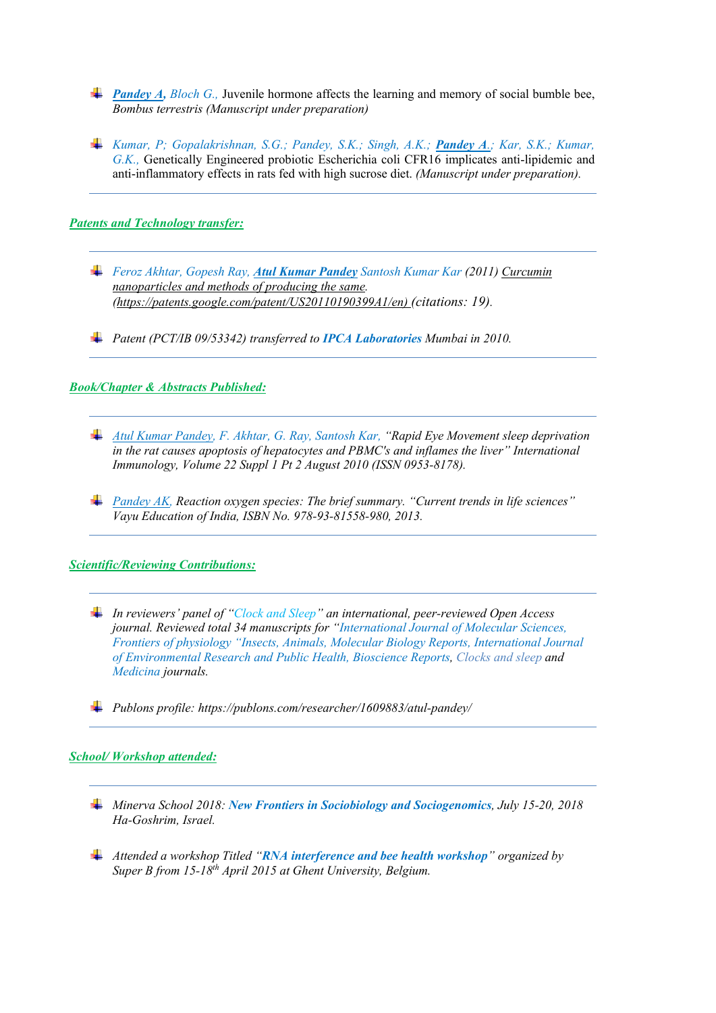- *Pandey A, Bloch G., Juvenile hormone affects the learning and memory of social bumble bee, Bombus terrestris (Manuscript under preparation)*
- *Kumar, P; Gopalakrishnan, S.G.; Pandey, S.K.; Singh, A.K.; Pandey A.; Kar, S.K.; Kumar, G.K.,* Genetically Engineered probiotic Escherichia coli CFR16 implicates anti-lipidemic and anti-inflammatory effects in rats fed with high sucrose diet. *(Manuscript under preparation).*

### *Patents and Technology transfer:*

- *Feroz Akhtar, Gopesh Ray, Atul Kumar Pandey Santosh Kumar Kar (2011) [Curcumin](http://www.mendeley.com/c/6834313981/p/7823873/santosh-kumar-kar-2011-curcumin-nanoparticles-and-methods-of-producing-the-same/)  [nanoparticles and methods of producing the same.](http://www.mendeley.com/c/6834313981/p/7823873/santosh-kumar-kar-2011-curcumin-nanoparticles-and-methods-of-producing-the-same/) [\(https://patents.google.com/patent/US20110190399A1/en\)](http://www.google.co.in/patents/WO201) (citations: 19).*
- *Patent (PCT/IB 09/53342) transferred to IPCA Laboratories Mumbai in 2010.*

## *Book/Chapter & Abstracts Published:*

- *Atul Kumar Pandey, F. Akhtar, G. Ray, Santosh Kar, "Rapid Eye Movement sleep deprivation in the rat causes apoptosis of hepatocytes and PBMC's and inflames the liver" International Immunology, Volume 22 Suppl 1 Pt 2 August 2010 (ISSN 0953-8178).*
- *Pandey AK, Reaction oxygen species: The brief summary. "Current trends in life sciences" Vayu Education of India, ISBN No. 978-93-81558-980, 2013.*

#### *Scientific/Reviewing Contributions:*

- *In reviewers' panel of "Clock and Sleep" an international, peer-reviewed Open Access journal. Reviewed total 34 manuscripts for "International Journal of Molecular Sciences, Frontiers of physiology "Insects, Animals, Molecular Biology Reports, International Journal of Environmental Research and Public Health, Bioscience Reports, Clocks and sleep and Medicina journals.*
- *Publons profile: https://publons.com/researcher/1609883/atul-pandey/*

#### *School/ Workshop attended:*

- *Minerva School 2018: New Frontiers in Sociobiology and Sociogenomics, July 15-20, 2018 Ha-Goshrim, Israel.*
- *Attended a workshop Titled "RNA interference and bee health workshop" organized by Super B from 15-18th April 2015 at Ghent University, Belgium.*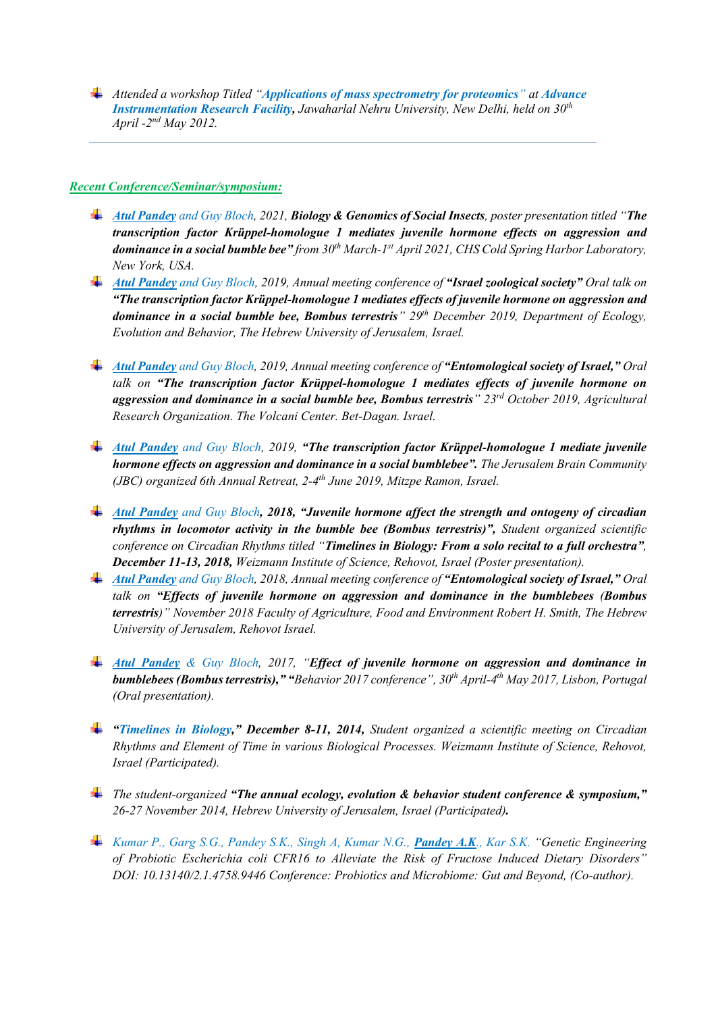*Attended a workshop Titled "Applications of mass spectrometry for proteomics" at Advance Instrumentation Research Facility, Jawaharlal Nehru University, New Delhi, held on 30th April -2 nd May 2012.* 

### *Recent Conference/Seminar/symposium:*

- *Atul Pandey and Guy Bloch, 2021, Biology & Genomics of Social Insects, poster presentation titled "The transcription factor Krüppel-homologue 1 mediates juvenile hormone effects on aggression and dominance in a social bumble bee" from 30th March-1 st April 2021, CHS Cold Spring Harbor Laboratory, New York, USA.*
- *Atul Pandey and Guy Bloch, 2019, Annual meeting conference of "Israel zoological society" Oral talk on "The transcription factor Krüppel-homologue 1 mediates effects of juvenile hormone on aggression and dominance in a social bumble bee, Bombus terrestris" 29th December 2019, Department of Ecology, Evolution and Behavior, The Hebrew University of Jerusalem, Israel.*
- *Atul Pandey and Guy Bloch, 2019, Annual meeting conference of "Entomological society of Israel," Oral talk on "The transcription factor Krüppel-homologue 1 mediates effects of juvenile hormone on aggression and dominance in a social bumble bee, Bombus terrestris" 23rd October 2019, Agricultural Research Organization. The Volcani Center. Bet-Dagan. Israel.*
- *Atul Pandey and Guy Bloch, 2019, "The transcription factor Krüppel-homologue 1 mediate juvenile hormone effects on aggression and dominance in a social bumblebee". The Jerusalem Brain Community (JBC) organized 6th Annual Retreat, 2-4 th June 2019, Mitzpe Ramon, Israel.*
- *Atul Pandey and Guy Bloch, 2018, "Juvenile hormone affect the strength and ontogeny of circadian rhythms in locomotor activity in the bumble bee (Bombus terrestris)", Student organized scientific conference on Circadian Rhythms titled "Timelines in Biology: From a solo recital to a full orchestra", December 11-13, 2018, Weizmann Institute of Science, Rehovot, Israel (Poster presentation).*
- *Atul Pandey and Guy Bloch, 2018, Annual meeting conference of "Entomological society of Israel," Oral talk on "Effects of juvenile hormone on aggression and dominance in the bumblebees (Bombus terrestris)" November 2018 Faculty of Agriculture, Food and Environment Robert H. Smith, The Hebrew University of Jerusalem, Rehovot Israel.*
- *Atul Pandey & Guy Bloch, 2017, "Effect of juvenile hormone on aggression and dominance in bumblebees (Bombus terrestris)," "Behavior 2017 conference", 30th April-4 th May 2017, Lisbon, Portugal (Oral presentation).*
- *"Timelines in Biology," December 8-11, 2014, Student organized a scientific meeting on Circadian Rhythms and Element of Time in various Biological Processes. Weizmann Institute of Science, Rehovot, Israel (Participated).*
- *The student-organized "The annual ecology, evolution & behavior student conference & symposium," 26-27 November 2014, Hebrew University of Jerusalem, Israel (Participated).*
- *Kumar P., Garg S.G., Pandey S.K., Singh A, Kumar N.G., Pandey A.K., Kar S.K. "Genetic Engineering of Probiotic Escherichia coli CFR16 to Alleviate the Risk of Fructose Induced Dietary Disorders" DOI: 10.13140/2.1.4758.9446 Conference: Probiotics and Microbiome: Gut and Beyond, (Co-author).*